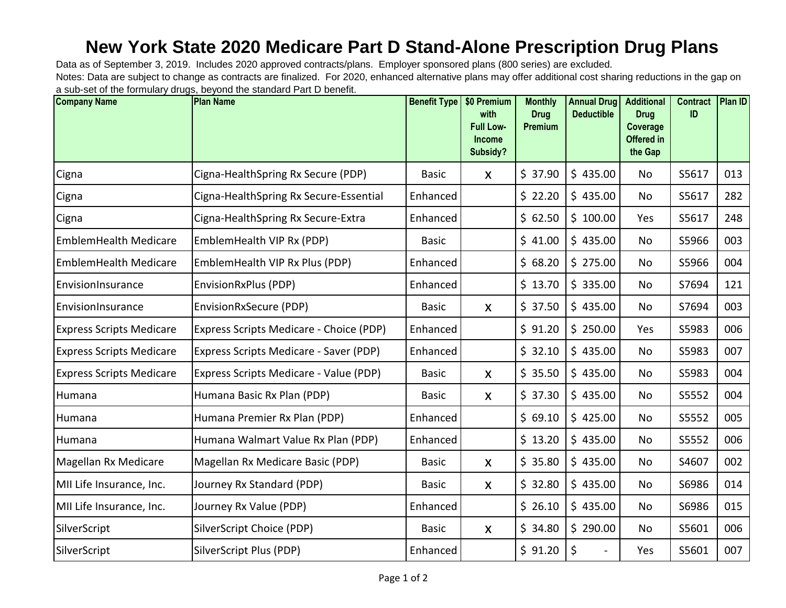## **New York State 2020 Medicare Part D Stand-Alone Prescription Drug Plans**

Notes: Data are subject to change as contracts are finalized. For 2020, enhanced alternative plans may offer additional cost sharing reductions in the gap on a sub-set of the formulary drugs, beyond the standard Part D benefit. Data as of September 3, 2019. Includes 2020 approved contracts/plans. Employer sponsored plans (800 series) are excluded.

| <b>Company Name</b>             | <b>Plan Name</b>                        | <b>Benefit Type</b> | \$0 Premium<br>with<br><b>Full Low-</b><br>Income<br>Subsidy? | <b>Monthly</b><br><b>Drug</b><br><b>Premium</b> | <b>Annual Drug</b><br><b>Deductible</b> | <b>Additional</b><br><b>Drug</b><br>Coverage<br>Offered in<br>the Gap | <b>Contract</b><br>ID | Plan ID |
|---------------------------------|-----------------------------------------|---------------------|---------------------------------------------------------------|-------------------------------------------------|-----------------------------------------|-----------------------------------------------------------------------|-----------------------|---------|
| Cigna                           | Cigna-HealthSpring Rx Secure (PDP)      | <b>Basic</b>        | $\mathsf{X}$                                                  | \$37.90                                         | \$435.00                                | No                                                                    | S5617                 | 013     |
| Cigna                           | Cigna-HealthSpring Rx Secure-Essential  | Enhanced            |                                                               | \$22.20                                         | \$435.00                                | No                                                                    | S5617                 | 282     |
| Cigna                           | Cigna-HealthSpring Rx Secure-Extra      | Enhanced            |                                                               | \$62.50                                         | \$100.00                                | Yes                                                                   | S5617                 | 248     |
| <b>EmblemHealth Medicare</b>    | EmblemHealth VIP Rx (PDP)               | <b>Basic</b>        |                                                               | \$41.00                                         | \$435.00                                | No                                                                    | S5966                 | 003     |
| <b>EmblemHealth Medicare</b>    | EmblemHealth VIP Rx Plus (PDP)          | Enhanced            |                                                               | \$68.20                                         | \$275.00                                | <b>No</b>                                                             | S5966                 | 004     |
| EnvisionInsurance               | EnvisionRxPlus (PDP)                    | Enhanced            |                                                               | \$13.70                                         | \$335.00                                | No                                                                    | S7694                 | 121     |
| EnvisionInsurance               | EnvisionRxSecure (PDP)                  | <b>Basic</b>        | $\mathsf{X}$                                                  | \$37.50                                         | \$435.00                                | No                                                                    | S7694                 | 003     |
| <b>Express Scripts Medicare</b> | Express Scripts Medicare - Choice (PDP) | Enhanced            |                                                               | \$91.20                                         | \$250.00                                | Yes                                                                   | S5983                 | 006     |
| <b>Express Scripts Medicare</b> | Express Scripts Medicare - Saver (PDP)  | Enhanced            |                                                               | \$32.10                                         | \$435.00                                | No                                                                    | S5983                 | 007     |
| <b>Express Scripts Medicare</b> | Express Scripts Medicare - Value (PDP)  | <b>Basic</b>        | $\mathsf{X}$                                                  | \$35.50                                         | \$435.00                                | No                                                                    | S5983                 | 004     |
| Humana                          | Humana Basic Rx Plan (PDP)              | <b>Basic</b>        | $\mathsf{X}$                                                  | \$37.30                                         | \$435.00                                | No                                                                    | S5552                 | 004     |
| Humana                          | Humana Premier Rx Plan (PDP)            | Enhanced            |                                                               | \$69.10                                         | \$425.00                                | No                                                                    | S5552                 | 005     |
| Humana                          | Humana Walmart Value Rx Plan (PDP)      | Enhanced            |                                                               | \$13.20                                         | \$435.00                                | No                                                                    | S5552                 | 006     |
| Magellan Rx Medicare            | Magellan Rx Medicare Basic (PDP)        | <b>Basic</b>        | X                                                             | \$35.80                                         | \$435.00                                | No                                                                    | S4607                 | 002     |
| MII Life Insurance, Inc.        | Journey Rx Standard (PDP)               | <b>Basic</b>        | $\mathsf{X}$                                                  | \$32.80                                         | \$435.00                                | No                                                                    | S6986                 | 014     |
| MII Life Insurance, Inc.        | Journey Rx Value (PDP)                  | Enhanced            |                                                               | \$26.10                                         | \$435.00                                | No                                                                    | S6986                 | 015     |
| SilverScript                    | SilverScript Choice (PDP)               | <b>Basic</b>        | $\mathsf{X}$                                                  | \$34.80                                         | \$290.00                                | No                                                                    | S5601                 | 006     |
| SilverScript                    | SilverScript Plus (PDP)                 | Enhanced            |                                                               | \$91.20                                         | \$                                      | Yes                                                                   | S5601                 | 007     |